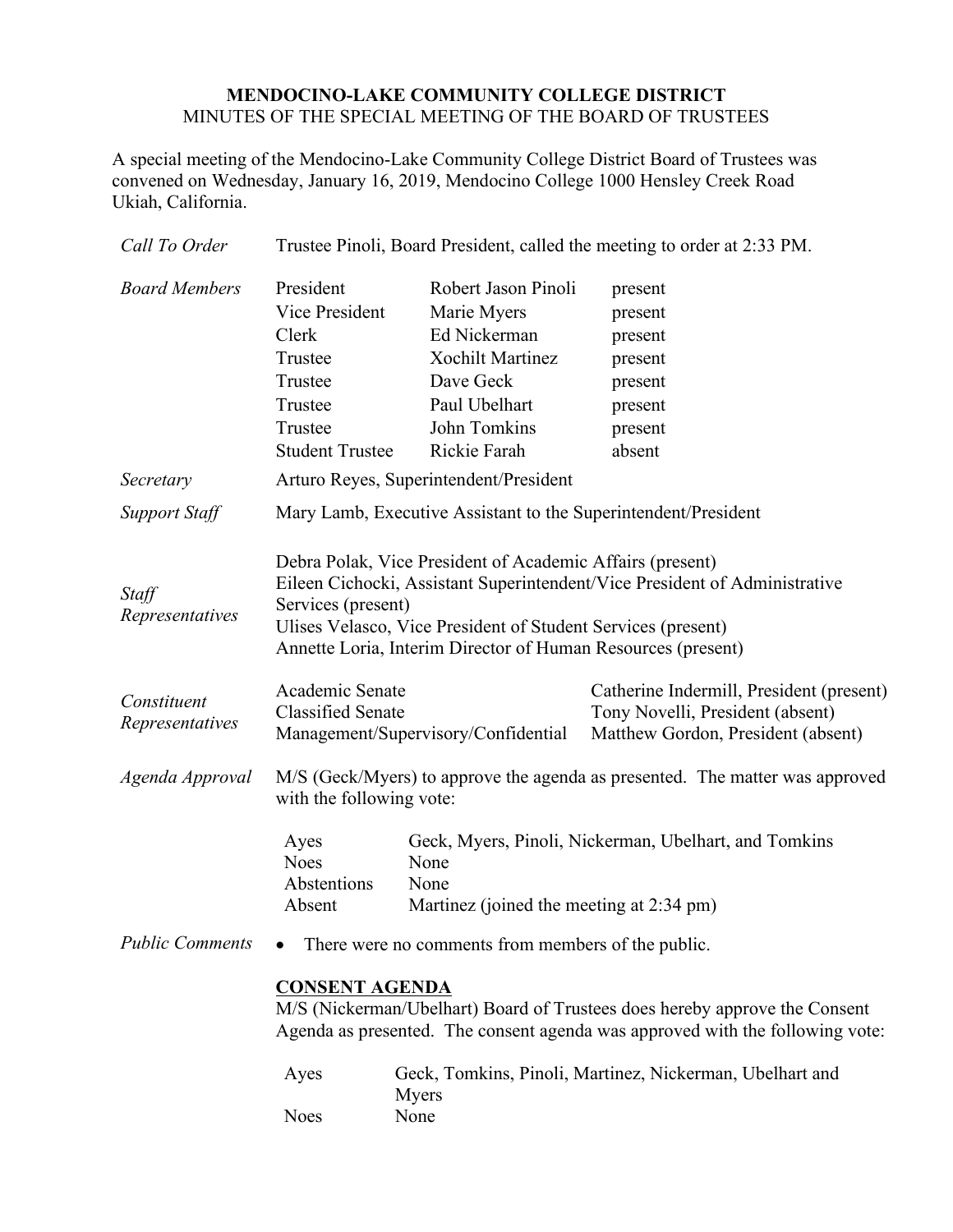# **MENDOCINO-LAKE COMMUNITY COLLEGE DISTRICT** MINUTES OF THE SPECIAL MEETING OF THE BOARD OF TRUSTEES

A special meeting of the Mendocino-Lake Community College District Board of Trustees was convened on Wednesday, January 16, 2019, Mendocino College 1000 Hensley Creek Road Ukiah, California.

| Call To Order                  | Trustee Pinoli, Board President, called the meeting to order at 2:33 PM.                                                                                                                                                                                                                      |                                                                                                                                             |                                                                                                                    |
|--------------------------------|-----------------------------------------------------------------------------------------------------------------------------------------------------------------------------------------------------------------------------------------------------------------------------------------------|---------------------------------------------------------------------------------------------------------------------------------------------|--------------------------------------------------------------------------------------------------------------------|
| <b>Board Members</b>           | President<br>Vice President<br>Clerk<br>Trustee<br>Trustee<br>Trustee<br>Trustee<br><b>Student Trustee</b>                                                                                                                                                                                    | Robert Jason Pinoli<br>Marie Myers<br>Ed Nickerman<br><b>Xochilt Martinez</b><br>Dave Geck<br>Paul Ubelhart<br>John Tomkins<br>Rickie Farah | present<br>present<br>present<br>present<br>present<br>present<br>present<br>absent                                |
| Secretary                      | Arturo Reyes, Superintendent/President                                                                                                                                                                                                                                                        |                                                                                                                                             |                                                                                                                    |
| <b>Support Staff</b>           | Mary Lamb, Executive Assistant to the Superintendent/President                                                                                                                                                                                                                                |                                                                                                                                             |                                                                                                                    |
| Staff<br>Representatives       | Debra Polak, Vice President of Academic Affairs (present)<br>Eileen Cichocki, Assistant Superintendent/Vice President of Administrative<br>Services (present)<br>Ulises Velasco, Vice President of Student Services (present)<br>Annette Loria, Interim Director of Human Resources (present) |                                                                                                                                             |                                                                                                                    |
| Constituent<br>Representatives | Academic Senate<br><b>Classified Senate</b>                                                                                                                                                                                                                                                   | Management/Supervisory/Confidential                                                                                                         | Catherine Indermill, President (present)<br>Tony Novelli, President (absent)<br>Matthew Gordon, President (absent) |
| Agenda Approval                | M/S (Geck/Myers) to approve the agenda as presented. The matter was approved<br>with the following vote:                                                                                                                                                                                      |                                                                                                                                             |                                                                                                                    |
|                                | Ayes<br><b>Noes</b><br>Abstentions<br>Absent                                                                                                                                                                                                                                                  | Geck, Myers, Pinoli, Nickerman, Ubelhart, and Tomkins<br>None<br>None<br>Martinez (joined the meeting at 2:34 pm)                           |                                                                                                                    |
| <b>Public Comments</b>         | There were no comments from members of the public.                                                                                                                                                                                                                                            |                                                                                                                                             |                                                                                                                    |
|                                | <b>CONSENT AGENDA</b><br>M/S (Nickerman/Ubelhart) Board of Trustees does hereby approve the Consent<br>Agenda as presented. The consent agenda was approved with the following vote:                                                                                                          |                                                                                                                                             |                                                                                                                    |
|                                | Ayes                                                                                                                                                                                                                                                                                          | Geck, Tomkins, Pinoli, Martinez, Nickerman, Ubelhart and<br>Myers                                                                           |                                                                                                                    |
|                                | <b>Noes</b>                                                                                                                                                                                                                                                                                   | None                                                                                                                                        |                                                                                                                    |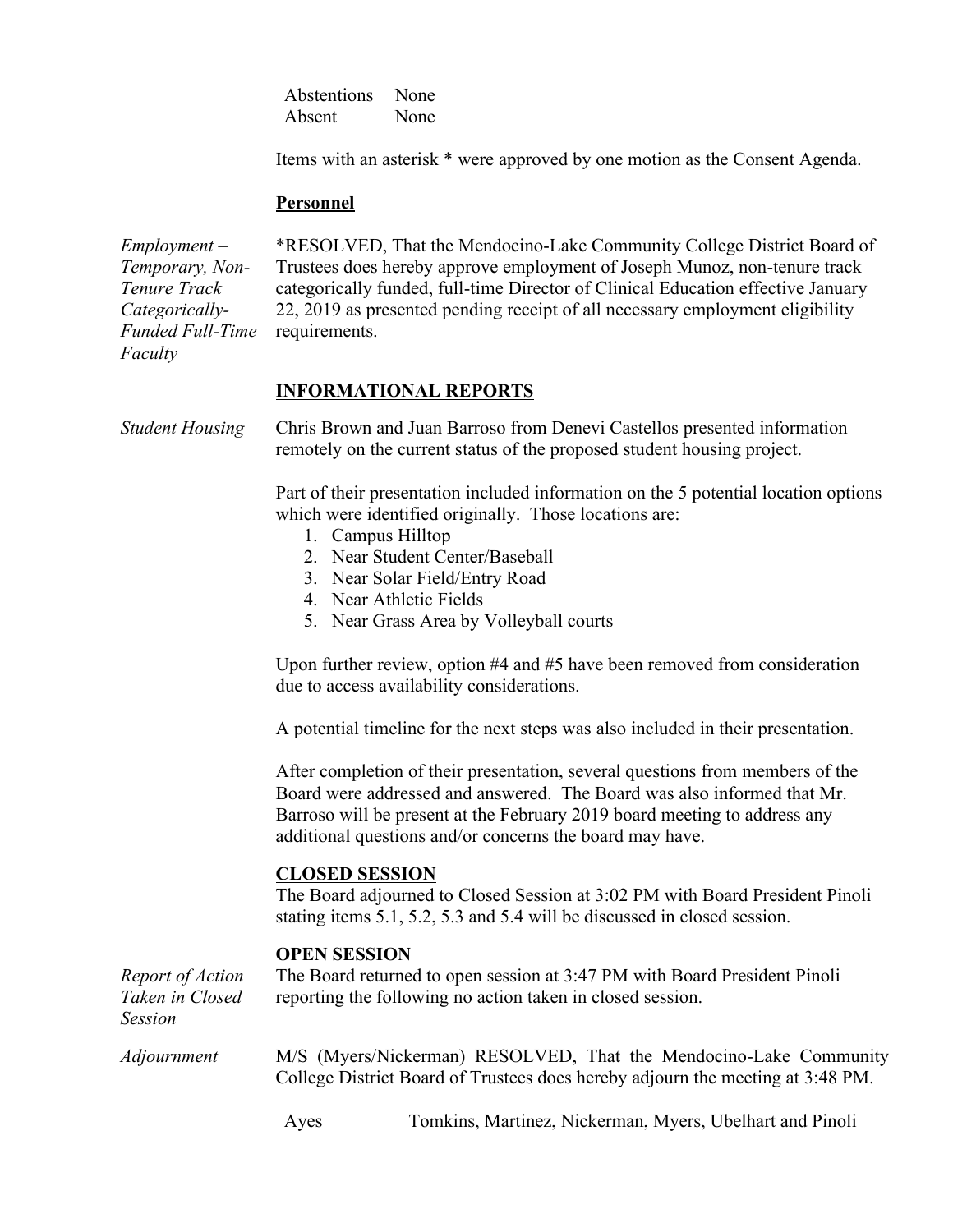Abstentions None Absent None

Items with an asterisk \* were approved by one motion as the Consent Agenda.

#### **Personnel**

*Employment – Temporary, Non-Tenure Track Categorically-Funded Full-Time Faculty*

\*RESOLVED, That the Mendocino-Lake Community College District Board of Trustees does hereby approve employment of Joseph Munoz, non-tenure track categorically funded, full-time Director of Clinical Education effective January 22, 2019 as presented pending receipt of all necessary employment eligibility requirements.

# **INFORMATIONAL REPORTS**

*Student Housing* Chris Brown and Juan Barroso from Denevi Castellos presented information remotely on the current status of the proposed student housing project.

> Part of their presentation included information on the 5 potential location options which were identified originally. Those locations are:

- 1. Campus Hilltop
- 2. Near Student Center/Baseball
- 3. Near Solar Field/Entry Road
- 4. Near Athletic Fields
- 5. Near Grass Area by Volleyball courts

Upon further review, option #4 and #5 have been removed from consideration due to access availability considerations.

A potential timeline for the next steps was also included in their presentation.

After completion of their presentation, several questions from members of the Board were addressed and answered. The Board was also informed that Mr. Barroso will be present at the February 2019 board meeting to address any additional questions and/or concerns the board may have.

## **CLOSED SESSION**

The Board adjourned to Closed Session at 3:02 PM with Board President Pinoli stating items 5.1, 5.2, 5.3 and 5.4 will be discussed in closed session.

## **OPEN SESSION**

| Report of Action<br>Taken in Closed<br><b>Session</b> | The Board returned to open session at 3:47 PM with Board President Pinoli<br>reporting the following no action taken in closed session.             |  |  |
|-------------------------------------------------------|-----------------------------------------------------------------------------------------------------------------------------------------------------|--|--|
| <i>Adjournment</i>                                    | M/S (Myers/Nickerman) RESOLVED, That the Mendocino-Lake Community<br>College District Board of Trustees does hereby adjourn the meeting at 3:48 PM. |  |  |

Ayes Tomkins, Martinez, Nickerman, Myers, Ubelhart and Pinoli